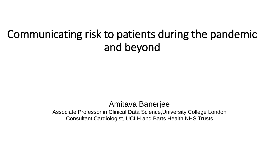# Communicating risk to patients during the pandemic and beyond

# Amitava Banerjee

Associate Professor in Clinical Data Science,University College London Consultant Cardiologist, UCLH and Barts Health NHS Trusts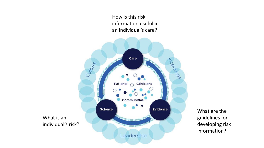How is this risk information useful in an individual's care?



What are the guidelines for developing risk information?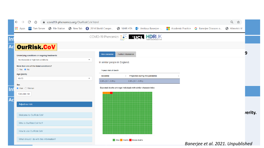